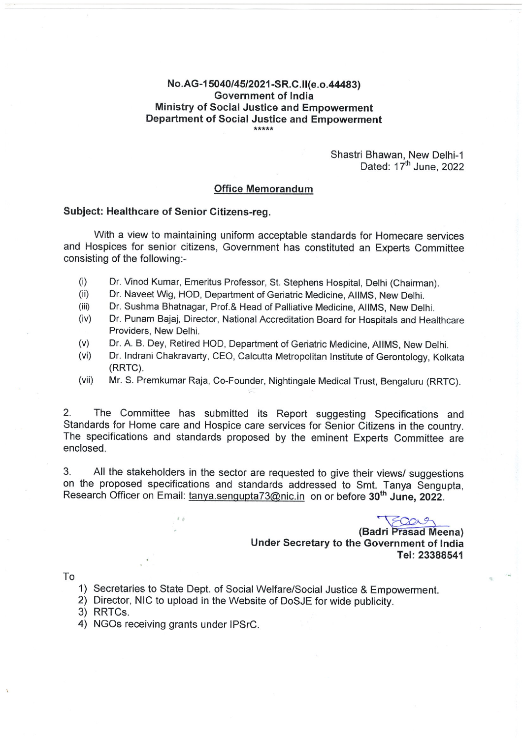# No.AG-15040/45/2021-SR.C.II(e.o.44483) **Government of India** Ministry of Social Justice and Empowerment Department of Social Justice and Empowerment

Shastri Bhawan, New Delhi-1 Dated: 17<sup>th</sup> June, 2022

#### **Office Memorandum**

#### Subject: Healthcare of Senior Citizens-reg.

With a view to maintaining uniform acceptable standards for Homecare services and Hospices for senior citizens, Government has constituted an Experts Committee consisting of the following:-

- $(i)$ Dr. Vinod Kumar, Emeritus Professor, St. Stephens Hospital, Delhi (Chairman).
- $(ii)$ Dr. Naveet Wig, HOD, Department of Geriatric Medicine, AIIMS, New Delhi.
- $(iii)$ Dr. Sushma Bhatnagar, Prof.& Head of Palliative Medicine, AIIMS, New Delhi.
- $(iv)$ Dr. Punam Bajaj, Director, National Accreditation Board for Hospitals and Healthcare Providers, New Delhi.
- Dr. A. B. Dey, Retired HOD, Department of Geriatric Medicine, AIIMS, New Delhi.  $(v)$
- $(vi)$ Dr. Indrani Chakravarty, CEO, Calcutta Metropolitan Institute of Gerontology, Kolkata (RRTC).
- Mr. S. Premkumar Raja, Co-Founder, Nightingale Medical Trust, Bengaluru (RRTC).  $(vii)$

The Committee has submitted its Report suggesting Specifications and  $2.$ Standards for Home care and Hospice care services for Senior Citizens in the country. The specifications and standards proposed by the eminent Experts Committee are enclosed.

3. All the stakeholders in the sector are requested to give their views/ suggestions on the proposed specifications and standards addressed to Smt. Tanya Sengupta. Research Officer on Email: tanya.sengupta73@nic.in on or before 30<sup>th</sup> June, 2022.

FOORS

(Badri Prasad Meena) Under Secretary to the Government of India Tel: 23388541

To

- 1) Secretaries to State Dept. of Social Welfare/Social Justice & Empowerment.
- 2) Director, NIC to upload in the Website of DoSJE for wide publicity.
- 3) RRTCs.
- 4) NGOs receiving grants under IPSrC.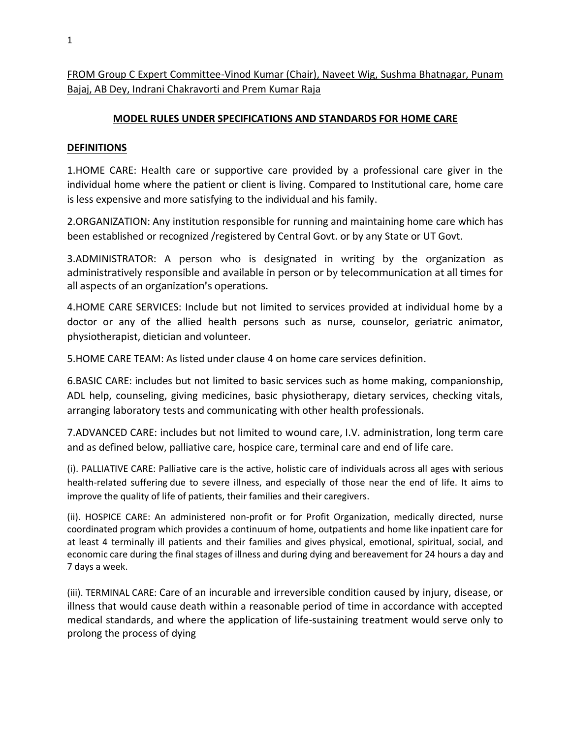FROM Group C Expert Committee-Vinod Kumar (Chair), Naveet Wig, Sushma Bhatnagar, Punam Bajaj, AB Dey, Indrani Chakravorti and Prem Kumar Raja

## **MODEL RULES UNDER SPECIFICATIONS AND STANDARDS FOR HOME CARE**

### **DEFINITIONS**

1.HOME CARE: Health care or supportive care provided by a professional care giver in the individual home where the patient or client is living. Compared to Institutional care, home care is less expensive and more satisfying to the individual and his family.

2.ORGANIZATION: Any institution responsible for running and maintaining home care which has been established or recognized /registered by Central Govt. or by any State or UT Govt.

3.ADMINISTRATOR: A person who is designated in writing by the organization as administratively responsible and available in person or by telecommunication at all times for all aspects of an organization's operations.

4.HOME CARE SERVICES: Include but not limited to services provided at individual home by a doctor or any of the allied health persons such as nurse, counselor, geriatric animator, physiotherapist, dietician and volunteer.

5.HOME CARE TEAM: As listed under clause 4 on home care services definition.

6.BASIC CARE: includes but not limited to basic services such as home making, companionship, ADL help, counseling, giving medicines, basic physiotherapy, dietary services, checking vitals, arranging laboratory tests and communicating with other health professionals.

7.ADVANCED CARE: includes but not limited to wound care, I.V. administration, long term care and as defined below, palliative care, hospice care, terminal care and end of life care.

(i). PALLIATIVE CARE: Palliative care is the active, holistic care of individuals across all ages with serious health-related suffering due to severe illness, and especially of those near the end of life. It aims to improve the quality of life of patients, their families and their caregivers.

(ii). HOSPICE CARE: An administered non-profit or for Profit Organization, medically directed, nurse coordinated program which provides a continuum of home, outpatients and home like inpatient care for at least 4 terminally ill patients and their families and gives physical, emotional, spiritual, social, and economic care during the final stages of illness and during dying and bereavement for 24 hours a day and 7 days a week.

(iii). TERMINAL CARE: Care of an incurable and irreversible condition caused by injury, disease, or illness that would cause death within a reasonable period of time in accordance with accepted medical standards, and where the application of life-sustaining treatment would serve only to prolong the process of dying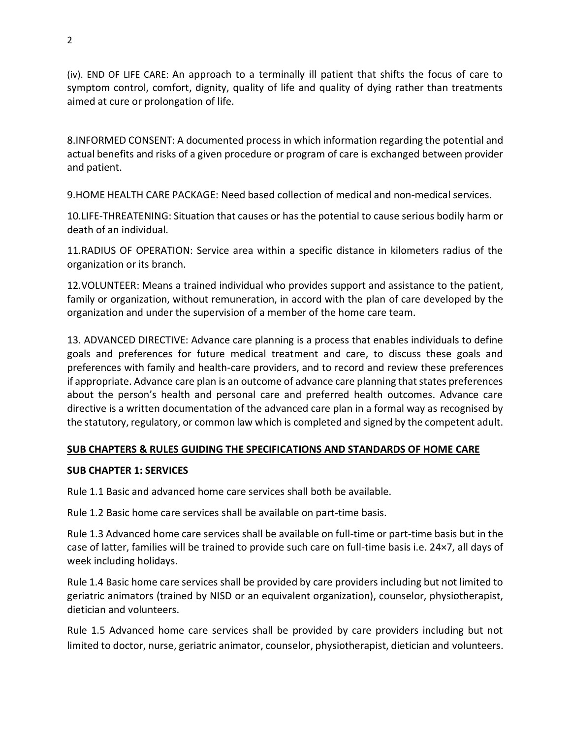(iv). END OF LIFE CARE: An approach to a terminally ill patient that shifts the focus of care to symptom control, comfort, dignity, quality of life and quality of dying rather than treatments aimed at cure or prolongation of life.

8.INFORMED CONSENT: A documented process in which information regarding the potential and actual benefits and risks of a given procedure or program of care is exchanged between provider and patient.

9.HOME HEALTH CARE PACKAGE: Need based collection of medical and non-medical services.

10.LIFE-THREATENING: Situation that causes or has the potential to cause serious bodily harm or death of an individual.

11.RADIUS OF OPERATION: Service area within a specific distance in kilometers radius of the organization or its branch.

12.VOLUNTEER: Means a trained individual who provides support and assistance to the patient, family or organization, without remuneration, in accord with the plan of care developed by the organization and under the supervision of a member of the home care team.

13. ADVANCED DIRECTIVE: Advance care planning is a process that enables individuals to define goals and preferences for future medical treatment and care, to discuss these goals and preferences with family and health-care providers, and to record and review these preferences if appropriate. Advance care plan is an outcome of advance care planning that states preferences about the person's health and personal care and preferred health outcomes. Advance care directive is a written documentation of the advanced care plan in a formal way as recognised by the statutory, regulatory, or common law which is completed and signed by the competent adult.

# **SUB CHAPTERS & RULES GUIDING THE SPECIFICATIONS AND STANDARDS OF HOME CARE**

# **SUB CHAPTER 1: SERVICES**

Rule 1.1 Basic and advanced home care services shall both be available.

Rule 1.2 Basic home care services shall be available on part-time basis.

Rule 1.3 Advanced home care services shall be available on full-time or part-time basis but in the case of latter, families will be trained to provide such care on full-time basis i.e. 24×7, all days of week including holidays.

Rule 1.4 Basic home care services shall be provided by care providers including but not limited to geriatric animators (trained by NISD or an equivalent organization), counselor, physiotherapist, dietician and volunteers.

Rule 1.5 Advanced home care services shall be provided by care providers including but not limited to doctor, nurse, geriatric animator, counselor, physiotherapist, dietician and volunteers.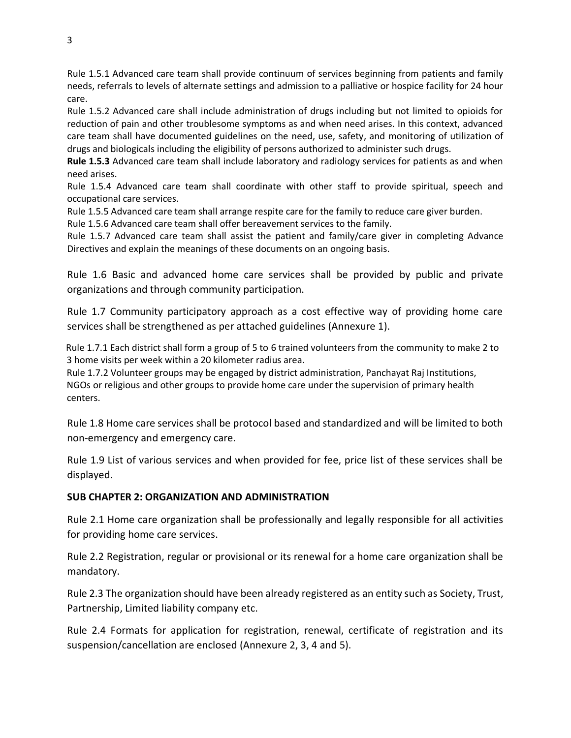Rule 1.5.1 Advanced care team shall provide continuum of services beginning from patients and family needs, referrals to levels of alternate settings and admission to a palliative or hospice facility for 24 hour care.

Rule 1.5.2 Advanced care shall include administration of drugs including but not limited to opioids for reduction of pain and other troublesome symptoms as and when need arises. In this context, advanced care team shall have documented guidelines on the need, use, safety, and monitoring of utilization of drugs and biologicals including the eligibility of persons authorized to administer such drugs.

**Rule 1.5.3** Advanced care team shall include laboratory and radiology services for patients as and when need arises.

Rule 1.5.4 Advanced care team shall coordinate with other staff to provide spiritual, speech and occupational care services.

Rule 1.5.5 Advanced care team shall arrange respite care for the family to reduce care giver burden.

Rule 1.5.6 Advanced care team shall offer bereavement services to the family.

Rule 1.5.7 Advanced care team shall assist the patient and family/care giver in completing Advance Directives and explain the meanings of these documents on an ongoing basis.

Rule 1.6 Basic and advanced home care services shall be provided by public and private organizations and through community participation.

Rule 1.7 Community participatory approach as a cost effective way of providing home care services shall be strengthened as per attached guidelines (Annexure 1).

 Rule 1.7.1 Each district shall form a group of 5 to 6 trained volunteers from the community to make 2 to 3 home visits per week within a 20 kilometer radius area.

 Rule 1.7.2 Volunteer groups may be engaged by district administration, Panchayat Raj Institutions, NGOs or religious and other groups to provide home care under the supervision of primary health centers.

Rule 1.8 Home care services shall be protocol based and standardized and will be limited to both non-emergency and emergency care.

Rule 1.9 List of various services and when provided for fee, price list of these services shall be displayed.

# **SUB CHAPTER 2: ORGANIZATION AND ADMINISTRATION**

Rule 2.1 Home care organization shall be professionally and legally responsible for all activities for providing home care services.

Rule 2.2 Registration, regular or provisional or its renewal for a home care organization shall be mandatory.

Rule 2.3 The organization should have been already registered as an entity such as Society, Trust, Partnership, Limited liability company etc.

Rule 2.4 Formats for application for registration, renewal, certificate of registration and its suspension/cancellation are enclosed (Annexure 2, 3, 4 and 5).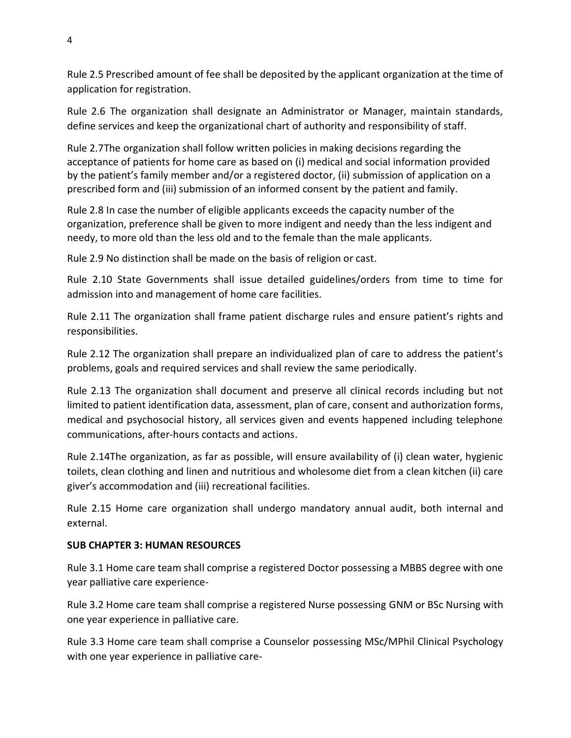Rule 2.5 Prescribed amount of fee shall be deposited by the applicant organization at the time of application for registration.

Rule 2.6 The organization shall designate an Administrator or Manager, maintain standards, define services and keep the organizational chart of authority and responsibility of staff.

Rule 2.7The organization shall follow written policies in making decisions regarding the acceptance of patients for home care as based on (i) medical and social information provided by the patient's family member and/or a registered doctor, (ii) submission of application on a prescribed form and (iii) submission of an informed consent by the patient and family.

Rule 2.8 In case the number of eligible applicants exceeds the capacity number of the organization, preference shall be given to more indigent and needy than the less indigent and needy, to more old than the less old and to the female than the male applicants.

Rule 2.9 No distinction shall be made on the basis of religion or cast.

Rule 2.10 State Governments shall issue detailed guidelines/orders from time to time for admission into and management of home care facilities.

Rule 2.11 The organization shall frame patient discharge rules and ensure patient's rights and responsibilities.

Rule 2.12 The organization shall prepare an individualized plan of care to address the patient's problems, goals and required services and shall review the same periodically.

Rule 2.13 The organization shall document and preserve all clinical records including but not limited to patient identification data, assessment, plan of care, consent and authorization forms, medical and psychosocial history, all services given and events happened including telephone communications, after-hours contacts and actions.

Rule 2.14The organization, as far as possible, will ensure availability of (i) clean water, hygienic toilets, clean clothing and linen and nutritious and wholesome diet from a clean kitchen (ii) care giver's accommodation and (iii) recreational facilities.

Rule 2.15 Home care organization shall undergo mandatory annual audit, both internal and external.

# **SUB CHAPTER 3: HUMAN RESOURCES**

Rule 3.1 Home care team shall comprise a registered Doctor possessing a MBBS degree with one year palliative care experience-

Rule 3.2 Home care team shall comprise a registered Nurse possessing GNM or BSc Nursing with one year experience in palliative care.

Rule 3.3 Home care team shall comprise a Counselor possessing MSc/MPhil Clinical Psychology with one year experience in palliative care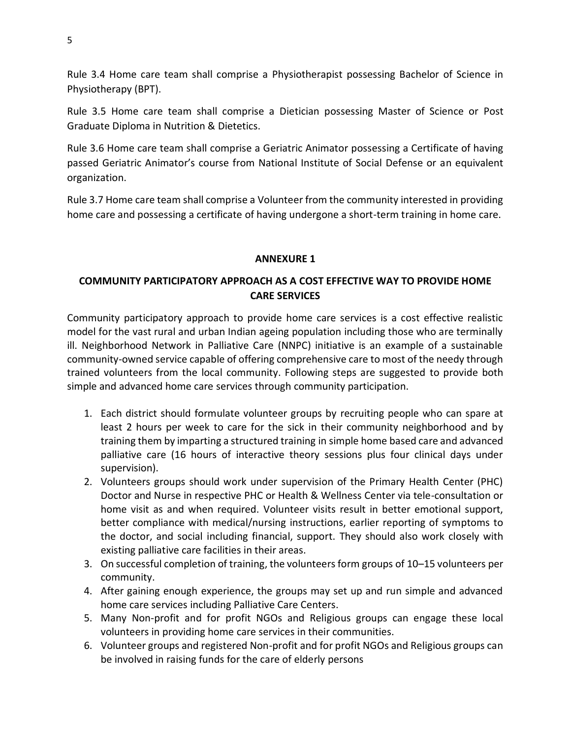Rule 3.4 Home care team shall comprise a Physiotherapist possessing Bachelor of Science in Physiotherapy (BPT).

Rule 3.5 Home care team shall comprise a Dietician possessing Master of Science or Post Graduate Diploma in Nutrition & Dietetics.

Rule 3.6 Home care team shall comprise a Geriatric Animator possessing a Certificate of having passed Geriatric Animator's course from National Institute of Social Defense or an equivalent organization.

Rule 3.7 Home care team shall comprise a Volunteer from the community interested in providing home care and possessing a certificate of having undergone a short-term training in home care.

### **ANNEXURE 1**

# **COMMUNITY PARTICIPATORY APPROACH AS A COST EFFECTIVE WAY TO PROVIDE HOME CARE SERVICES**

Community participatory approach to provide home care services is a cost effective realistic model for the vast rural and urban Indian ageing population including those who are terminally ill. Neighborhood Network in Palliative Care (NNPC) initiative is an example of a sustainable community-owned service capable of offering comprehensive care to most of the needy through trained volunteers from the local community. Following steps are suggested to provide both simple and advanced home care services through community participation.

- 1. Each district should formulate volunteer groups by recruiting people who can spare at least 2 hours per week to care for the sick in their community neighborhood and by training them by imparting a structured training in simple home based care and advanced palliative care (16 hours of interactive theory sessions plus four clinical days under supervision).
- 2. Volunteers groups should work under supervision of the Primary Health Center (PHC) Doctor and Nurse in respective PHC or Health & Wellness Center via tele-consultation or home visit as and when required. Volunteer visits result in better emotional support, better compliance with medical/nursing instructions, earlier reporting of symptoms to the doctor, and social including financial, support. They should also work closely with existing palliative care facilities in their areas.
- 3. On successful completion of training, the volunteers form groups of 10–15 volunteers per community.
- 4. After gaining enough experience, the groups may set up and run simple and advanced home care services including Palliative Care Centers.
- 5. Many Non-profit and for profit NGOs and Religious groups can engage these local volunteers in providing home care services in their communities.
- 6. Volunteer groups and registered Non-profit and for profit NGOs and Religious groups can be involved in raising funds for the care of elderly persons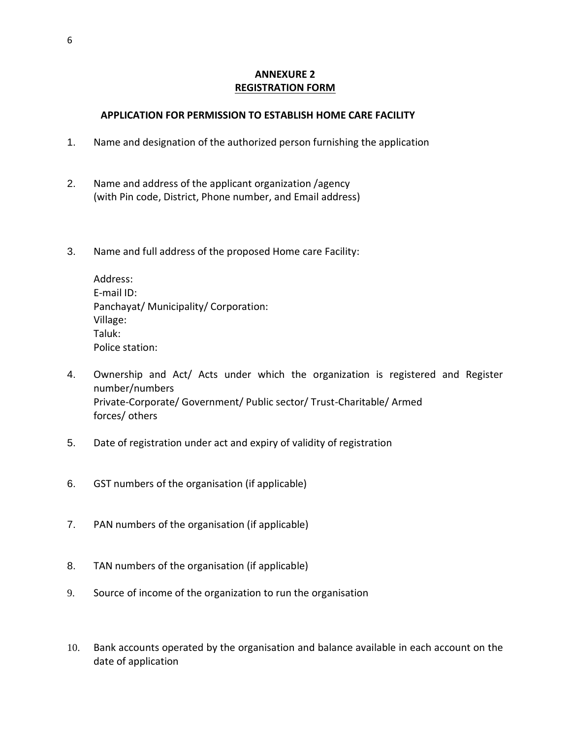# **ANNEXURE 2 REGISTRATION FORM**

### **APPLICATION FOR PERMISSION TO ESTABLISH HOME CARE FACILITY**

- 1. Name and designation of the authorized person furnishing the application
- 2. Name and address of the applicant organization /agency (with Pin code, District, Phone number, and Email address)
- 3. Name and full address of the proposed Home care Facility:

Address: E-mail ID: Panchayat/ Municipality/ Corporation: Village: Taluk: Police station:

- 4. Ownership and Act/ Acts under which the organization is registered and Register number/numbers Private-Corporate/ Government/ Public sector/ Trust-Charitable/ Armed forces/ others
- 5. Date of registration under act and expiry of validity of registration
- 6. GST numbers of the organisation (if applicable)
- 7. PAN numbers of the organisation (if applicable)
- 8. TAN numbers of the organisation (if applicable)
- 9. Source of income of the organization to run the organisation
- 10. Bank accounts operated by the organisation and balance available in each account on the date of application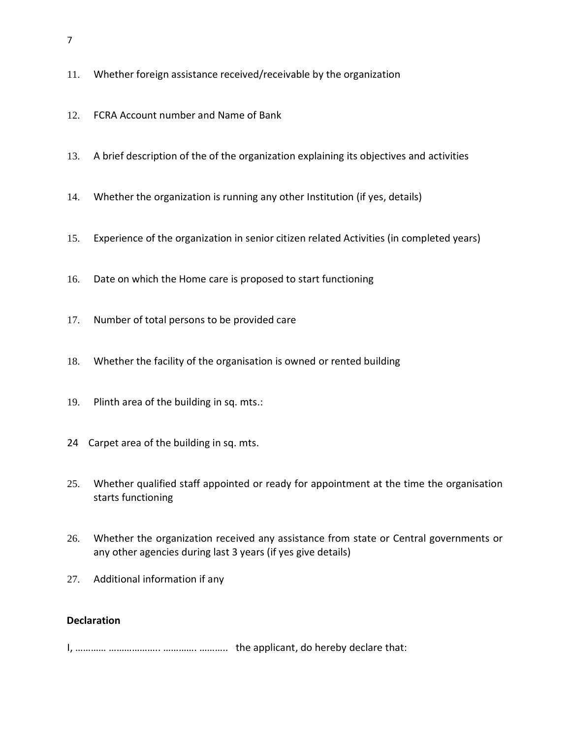- 11. Whether foreign assistance received/receivable by the organization
- 12. FCRA Account number and Name of Bank
- 13. A brief description of the of the organization explaining its objectives and activities
- 14. Whether the organization is running any other Institution (if yes, details)
- 15. Experience of the organization in senior citizen related Activities (in completed years)
- 16. Date on which the Home care is proposed to start functioning
- 17. Number of total persons to be provided care
- 18. Whether the facility of the organisation is owned or rented building
- 19. Plinth area of the building in sq. mts.:
- 24 Carpet area of the building in sq. mts.
- 25. Whether qualified staff appointed or ready for appointment at the time the organisation starts functioning
- 26. Whether the organization received any assistance from state or Central governments or any other agencies during last 3 years (if yes give details)
- 27. Additional information if any

### **Declaration**

I, ………… ……………….. …………. ……….. the applicant, do hereby declare that: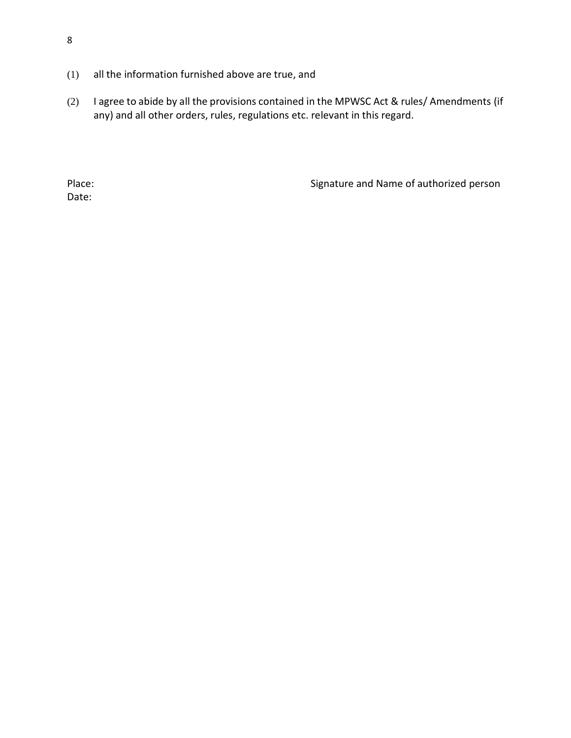- (1) all the information furnished above are true, and
- (2) I agree to abide by all the provisions contained in the MPWSC Act & rules/ Amendments (if any) and all other orders, rules, regulations etc. relevant in this regard.

Date:

Place: Place: Signature and Name of authorized person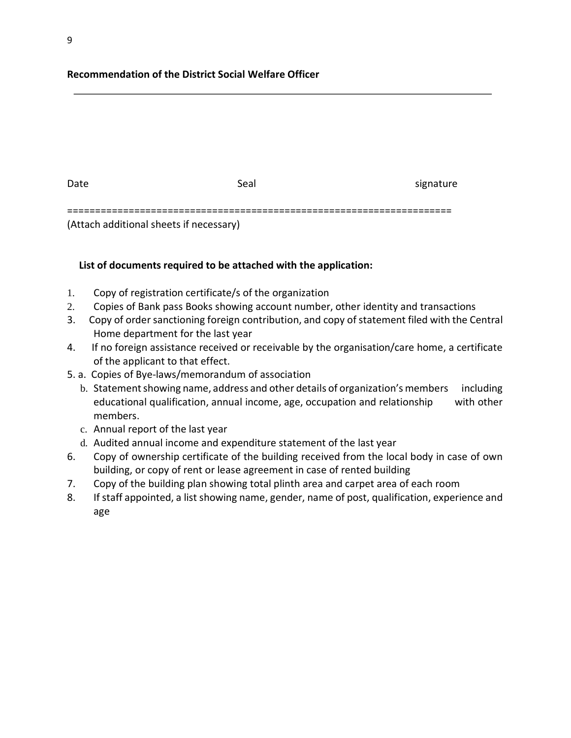## **Recommendation of the District Social Welfare Officer**

| Date                                    | Seal | signature |
|-----------------------------------------|------|-----------|
|                                         |      |           |
| (Attach additional sheets if necessary) |      |           |

#### **List of documents required to be attached with the application:**

- 1. Copy of registration certificate/s of the organization
- 2. Copies of Bank pass Books showing account number, other identity and transactions
- 3. Copy of order sanctioning foreign contribution, and copy of statement filed with the Central Home department for the last year
- 4. If no foreign assistance received or receivable by the organisation/care home, a certificate of the applicant to that effect.
- 5. a. Copies of Bye-laws/memorandum of association
	- b. Statement showing name, address and other details of organization's members including educational qualification, annual income, age, occupation and relationship with other members.
	- c. Annual report of the last year
	- d. Audited annual income and expenditure statement of the last year
- 6. Copy of ownership certificate of the building received from the local body in case of own building, or copy of rent or lease agreement in case of rented building
- 7. Copy of the building plan showing total plinth area and carpet area of each room
- 8. If staff appointed, a list showing name, gender, name of post, qualification, experience and age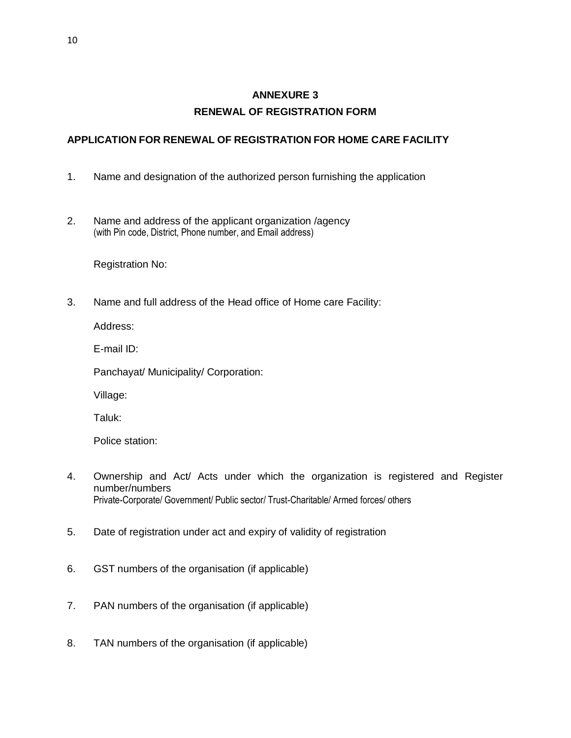# **ANNEXURE 3 RENEWAL OF REGISTRATION FORM**

# **APPLICATION FOR RENEWAL OF REGISTRATION FOR HOME CARE FACILITY**

- 1. Name and designation of the authorized person furnishing the application
- 2. Name and address of the applicant organization /agency (with Pin code, District, Phone number, and Email address)

Registration No:

3. Name and full address of the Head office of Home care Facility:

Address:

E-mail ID:

Panchayat/ Municipality/ Corporation:

Village:

Taluk:

Police station:

- 4. Ownership and Act/ Acts under which the organization is registered and Register number/numbers Private-Corporate/ Government/ Public sector/ Trust-Charitable/ Armed forces/ others
- 5. Date of registration under act and expiry of validity of registration
- 6. GST numbers of the organisation (if applicable)
- 7. PAN numbers of the organisation (if applicable)
- 8. TAN numbers of the organisation (if applicable)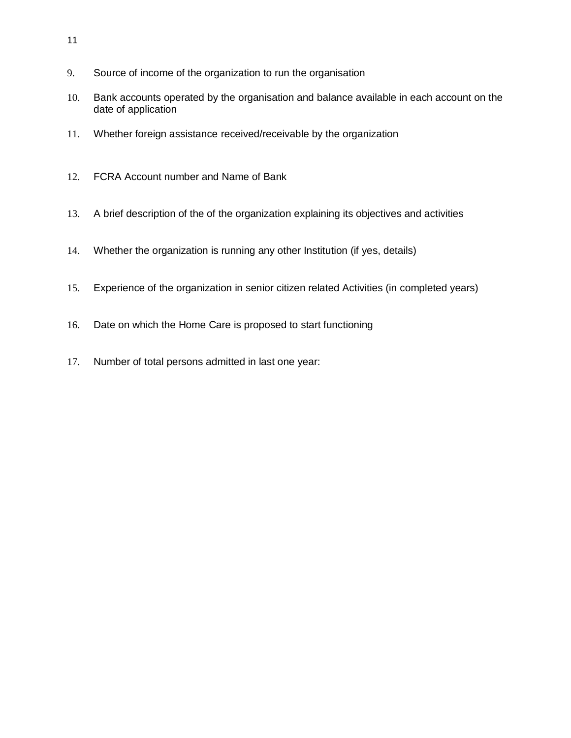- 9. Source of income of the organization to run the organisation
- 10. Bank accounts operated by the organisation and balance available in each account on the date of application
- 11. Whether foreign assistance received/receivable by the organization
- 12. FCRA Account number and Name of Bank
- 13. A brief description of the of the organization explaining its objectives and activities
- 14. Whether the organization is running any other Institution (if yes, details)
- 15. Experience of the organization in senior citizen related Activities (in completed years)
- 16. Date on which the Home Care is proposed to start functioning
- 17. Number of total persons admitted in last one year: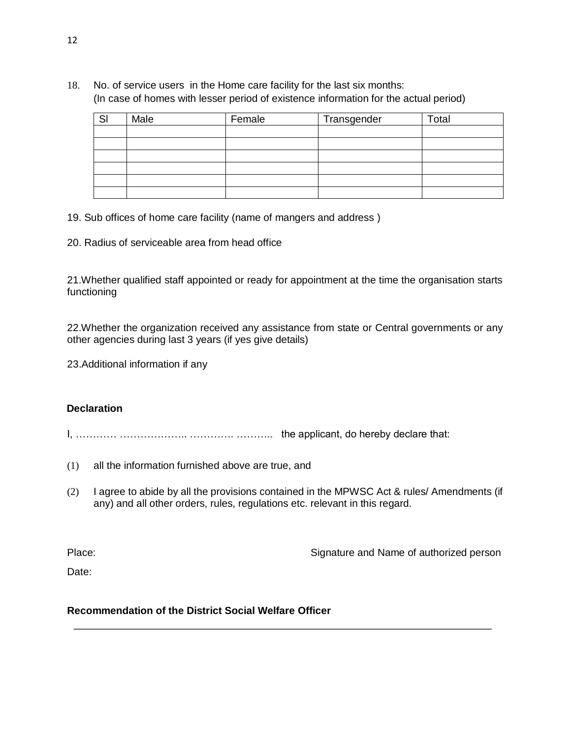18. No. of service users in the Home care facility for the last six months: (In case of homes with lesser period of existence information for the actual period)

| SI | Male | Female | Transgender | Total |
|----|------|--------|-------------|-------|
|    |      |        |             |       |
|    |      |        |             |       |
|    |      |        |             |       |
|    |      |        |             |       |
|    |      |        |             |       |
|    |      |        |             |       |

- 19. Sub offices of home care facility (name of mangers and address )
- 20. Radius of serviceable area from head office

21.Whether qualified staff appointed or ready for appointment at the time the organisation starts functioning

22.Whether the organization received any assistance from state or Central governments or any other agencies during last 3 years (if yes give details)

23.Additional information if any

#### **Declaration**

I, ………… ……………….. …………. ……….. the applicant, do hereby declare that:

- (1) all the information furnished above are true, and
- (2) I agree to abide by all the provisions contained in the MPWSC Act & rules/ Amendments (if any) and all other orders, rules, regulations etc. relevant in this regard.

Place: Place: Signature and Name of authorized person

Date:

# **Recommendation of the District Social Welfare Officer**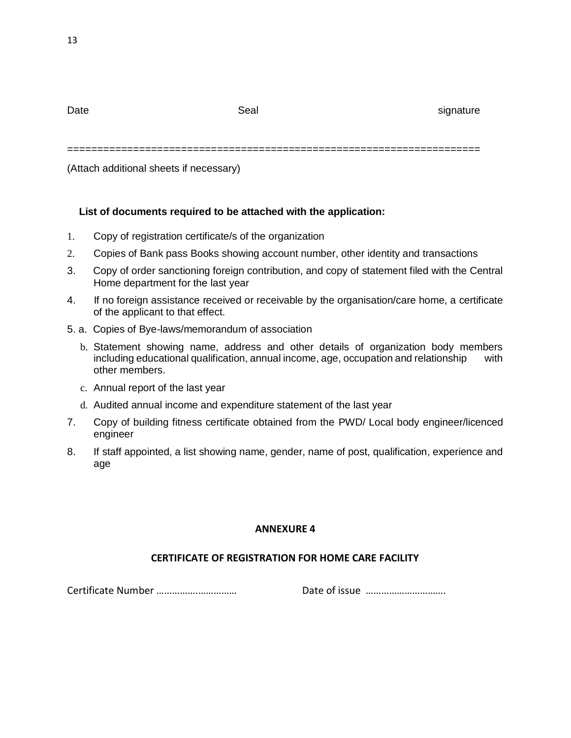Date signature signature Seal Seal signature signature

=====================================================================

(Attach additional sheets if necessary)

# **List of documents required to be attached with the application:**

- 1. Copy of registration certificate/s of the organization
- 2. Copies of Bank pass Books showing account number, other identity and transactions
- 3. Copy of order sanctioning foreign contribution, and copy of statement filed with the Central Home department for the last year
- 4. If no foreign assistance received or receivable by the organisation/care home, a certificate of the applicant to that effect.
- 5. a. Copies of Bye-laws/memorandum of association
	- b. Statement showing name, address and other details of organization body members including educational qualification, annual income, age, occupation and relationship with other members.
	- c. Annual report of the last year
	- d. Audited annual income and expenditure statement of the last year
- 7. Copy of building fitness certificate obtained from the PWD/ Local body engineer/licenced engineer
- 8. If staff appointed, a list showing name, gender, name of post, qualification, experience and age

# **ANNEXURE 4**

# **CERTIFICATE OF REGISTRATION FOR HOME CARE FACILITY**

Certificate Number …………….…………… Date of issue ………………………….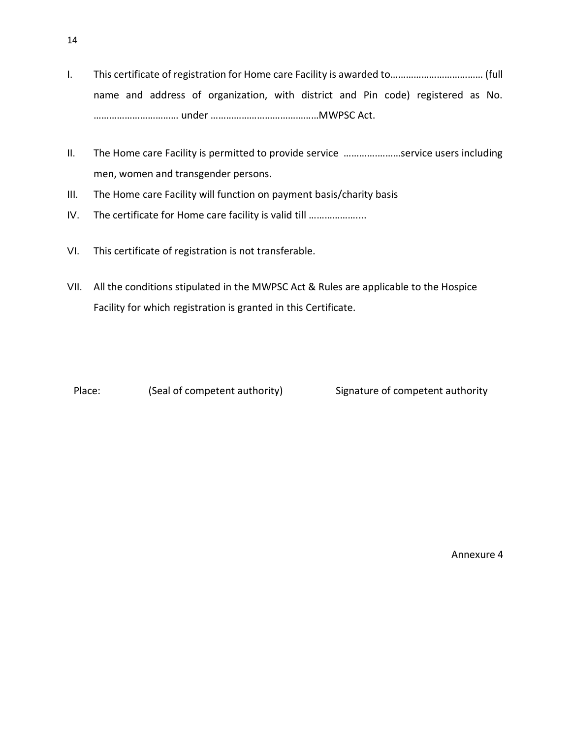- I. This certificate of registration for Home care Facility is awarded to……………………………… (full name and address of organization, with district and Pin code) registered as No. …………………………… under ……………………………………MWPSC Act.
- II. The Home care Facility is permitted to provide service ………….………service users including men, women and transgender persons.
- III. The Home care Facility will function on payment basis/charity basis
- IV. The certificate for Home care facility is valid till .......................
- VI. This certificate of registration is not transferable.
- VII. All the conditions stipulated in the MWPSC Act & Rules are applicable to the Hospice Facility for which registration is granted in this Certificate.

Place: (Seal of competent authority) Signature of competent authority

Annexure 4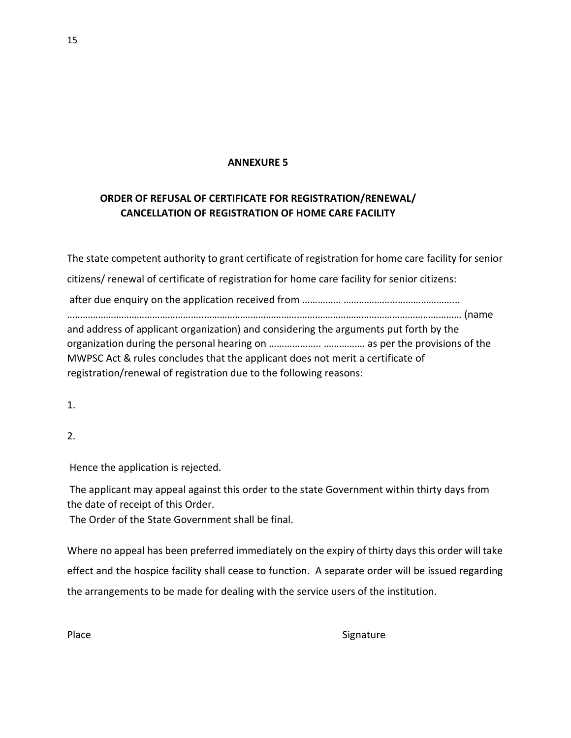### **ANNEXURE 5**

# **ORDER OF REFUSAL OF CERTIFICATE FOR REGISTRATION/RENEWAL/ CANCELLATION OF REGISTRATION OF HOME CARE FACILITY**

The state competent authority to grant certificate of registration for home care facility for senior citizens/ renewal of certificate of registration for home care facility for senior citizens: after due enquiry on the application received from …………… ……………………………………... ……………………………………………..……………………………….……………………………………………………… (name and address of applicant organization) and considering the arguments put forth by the organization during the personal hearing on ……………….. ……………. as per the provisions of the MWPSC Act & rules concludes that the applicant does not merit a certificate of registration/renewal of registration due to the following reasons:

1.

2.

Hence the application is rejected.

The applicant may appeal against this order to the state Government within thirty days from the date of receipt of this Order.

The Order of the State Government shall be final.

Where no appeal has been preferred immediately on the expiry of thirty days this order will take effect and the hospice facility shall cease to function. A separate order will be issued regarding the arrangements to be made for dealing with the service users of the institution.

Place Signature Signature